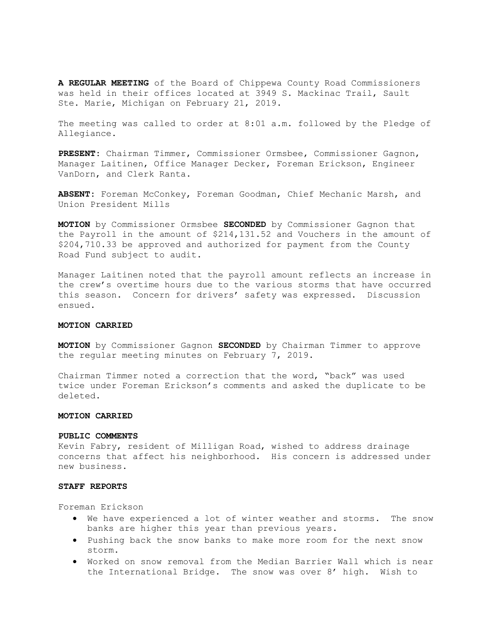A REGULAR MEETING of the Board of Chippewa County Road Commissioners was held in their offices located at 3949 S. Mackinac Trail, Sault Ste. Marie, Michigan on February 21, 2019.

The meeting was called to order at 8:01 a.m. followed by the Pledge of Allegiance.

PRESENT: Chairman Timmer, Commissioner Ormsbee, Commissioner Gagnon, Manager Laitinen, Office Manager Decker, Foreman Erickson, Engineer VanDorn, and Clerk Ranta.

ABSENT: Foreman McConkey, Foreman Goodman, Chief Mechanic Marsh, and Union President Mills

MOTION by Commissioner Ormsbee SECONDED by Commissioner Gagnon that the Payroll in the amount of \$214,131.52 and Vouchers in the amount of \$204,710.33 be approved and authorized for payment from the County Road Fund subject to audit.

Manager Laitinen noted that the payroll amount reflects an increase in the crew's overtime hours due to the various storms that have occurred this season. Concern for drivers' safety was expressed. Discussion ensued.

# MOTION CARRIED

**MOTION** by Commissioner Gagnon **SECONDED** by Chairman Timmer to approve the regular meeting minutes on February 7, 2019.

Chairman Timmer noted a correction that the word, "back" was used twice under Foreman Erickson's comments and asked the duplicate to be deleted.

#### MOTION CARRIED

#### PUBLIC COMMENTS

Kevin Fabry, resident of Milligan Road, wished to address drainage concerns that affect his neighborhood. His concern is addressed under new business.

# STAFF REPORTS

Foreman Erickson

- We have experienced a lot of winter weather and storms. The snow banks are higher this year than previous years.
- Pushing back the snow banks to make more room for the next snow storm.
- Worked on snow removal from the Median Barrier Wall which is near the International Bridge. The snow was over 8' high. Wish to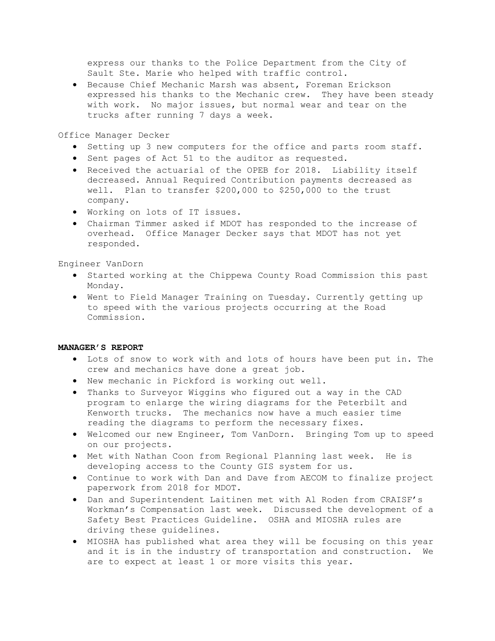express our thanks to the Police Department from the City of Sault Ste. Marie who helped with traffic control.

**•** Because Chief Mechanic Marsh was absent, Foreman Erickson expressed his thanks to the Mechanic crew. They have been steady with work. No major issues, but normal wear and tear on the trucks after running 7 days a week.

Office Manager Decker

- Setting up 3 new computers for the office and parts room staff.
- Sent pages of Act 51 to the auditor as requested.
- Received the actuarial of the OPEB for 2018. Liability itself decreased. Annual Required Contribution payments decreased as well. Plan to transfer \$200,000 to \$250,000 to the trust company.
- Working on lots of IT issues.
- Chairman Timmer asked if MDOT has responded to the increase of overhead. Office Manager Decker says that MDOT has not yet responded.

Engineer VanDorn

- Started working at the Chippewa County Road Commission this past Monday.
- Went to Field Manager Training on Tuesday. Currently getting up to speed with the various projects occurring at the Road Commission.

# MANAGER'S REPORT

- Lots of snow to work with and lots of hours have been put in. The crew and mechanics have done a great job.
- New mechanic in Pickford is working out well.
- Thanks to Surveyor Wiggins who figured out a way in the CAD program to enlarge the wiring diagrams for the Peterbilt and Kenworth trucks. The mechanics now have a much easier time reading the diagrams to perform the necessary fixes.
- Welcomed our new Engineer, Tom VanDorn. Bringing Tom up to speed on our projects.
- Met with Nathan Coon from Regional Planning last week. He is developing access to the County GIS system for us.
- Continue to work with Dan and Dave from AECOM to finalize project paperwork from 2018 for MDOT.
- Dan and Superintendent Laitinen met with Al Roden from CRAISF's Workman's Compensation last week. Discussed the development of a Safety Best Practices Guideline. OSHA and MIOSHA rules are driving these guidelines.
- MIOSHA has published what area they will be focusing on this year and it is in the industry of transportation and construction. We are to expect at least 1 or more visits this year.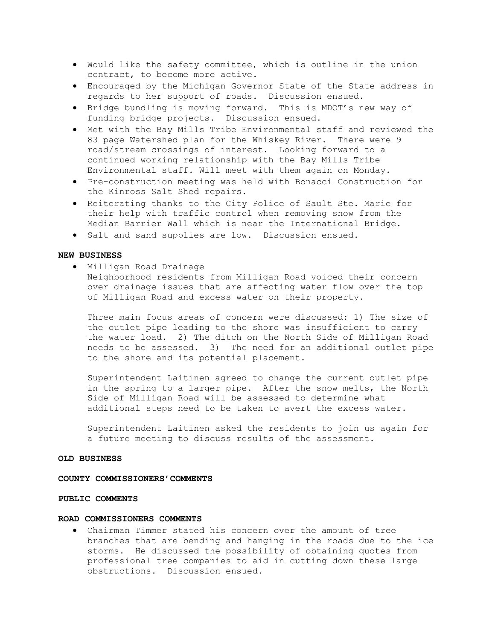- Would like the safety committee, which is outline in the union contract, to become more active.
- Encouraged by the Michigan Governor State of the State address in regards to her support of roads. Discussion ensued.
- Bridge bundling is moving forward. This is MDOT's new way of funding bridge projects. Discussion ensued.
- Met with the Bay Mills Tribe Environmental staff and reviewed the 83 page Watershed plan for the Whiskey River. There were 9 road/stream crossings of interest. Looking forward to a continued working relationship with the Bay Mills Tribe Environmental staff. Will meet with them again on Monday.
- Pre-construction meeting was held with Bonacci Construction for the Kinross Salt Shed repairs.
- Reiterating thanks to the City Police of Sault Ste. Marie for their help with traffic control when removing snow from the Median Barrier Wall which is near the International Bridge.
- Salt and sand supplies are low. Discussion ensued.

# NEW BUSINESS

Milligan Road Drainage

Neighborhood residents from Milligan Road voiced their concern over drainage issues that are affecting water flow over the top of Milligan Road and excess water on their property.

Three main focus areas of concern were discussed: 1) The size of the outlet pipe leading to the shore was insufficient to carry the water load. 2) The ditch on the North Side of Milligan Road needs to be assessed. 3) The need for an additional outlet pipe to the shore and its potential placement.

Superintendent Laitinen agreed to change the current outlet pipe in the spring to a larger pipe. After the snow melts, the North Side of Milligan Road will be assessed to determine what additional steps need to be taken to avert the excess water.

Superintendent Laitinen asked the residents to join us again for a future meeting to discuss results of the assessment.

### OLD BUSINESS

#### COUNTY COMMISSIONERS'COMMENTS

# PUBLIC COMMENTS

#### ROAD COMMISSIONERS COMMENTS

 Chairman Timmer stated his concern over the amount of tree branches that are bending and hanging in the roads due to the ice storms. He discussed the possibility of obtaining quotes from professional tree companies to aid in cutting down these large obstructions. Discussion ensued.